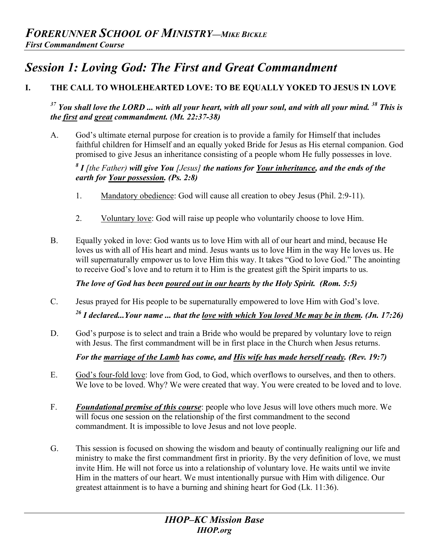# *Session 1: Loving God: The First and Great Commandment*

## **I. THE CALL TO WHOLEHEARTED LOVE: TO BE EQUALLY YOKED TO JESUS IN LOVE**

## *37 You shall love the LORD ... with all your heart, with all your soul, and with all your mind. 38 This is the first and great commandment. (Mt. 22:37-38)*

A. God's ultimate eternal purpose for creation is to provide a family for Himself that includes faithful children for Himself and an equally yoked Bride for Jesus as His eternal companion. God promised to give Jesus an inheritance consisting of a people whom He fully possesses in love.

## *8 I [the Father) will give You [Jesus] the nations for Your inheritance, and the ends of the earth for Your possession. (Ps. 2:8)*

- 1. Mandatory obedience: God will cause all creation to obey Jesus (Phil. 2:9-11).
- 2. Voluntary love: God will raise up people who voluntarily choose to love Him.
- B. Equally yoked in love: God wants us to love Him with all of our heart and mind, because He loves us with all of His heart and mind. Jesus wants us to love Him in the way He loves us. He will supernaturally empower us to love Him this way. It takes "God to love God." The anointing to receive God's love and to return it to Him is the greatest gift the Spirit imparts to us.

*The love of God has been poured out in our hearts by the Holy Spirit. (Rom. 5:5)*

- C. Jesus prayed for His people to be supernaturally empowered to love Him with God's love. *26 I declared...Your name ... that the love with which You loved Me may be in them. (Jn. 17:26)*
- D. God's purpose is to select and train a Bride who would be prepared by voluntary love to reign with Jesus. The first commandment will be in first place in the Church when Jesus returns.

*For the marriage of the Lamb has come, and His wife has made herself ready. (Rev. 19:7)* 

- E. God's four-fold love: love from God, to God, which overflows to ourselves, and then to others. We love to be loved. Why? We were created that way. You were created to be loved and to love.
- F. *Foundational premise of this course*: people who love Jesus will love others much more. We will focus one session on the relationship of the first commandment to the second commandment. It is impossible to love Jesus and not love people.
- G. This session is focused on showing the wisdom and beauty of continually realigning our life and ministry to make the first commandment first in priority. By the very definition of love, we must invite Him. He will not force us into a relationship of voluntary love. He waits until we invite Him in the matters of our heart. We must intentionally pursue with Him with diligence. Our greatest attainment is to have a burning and shining heart for God (Lk. 11:36).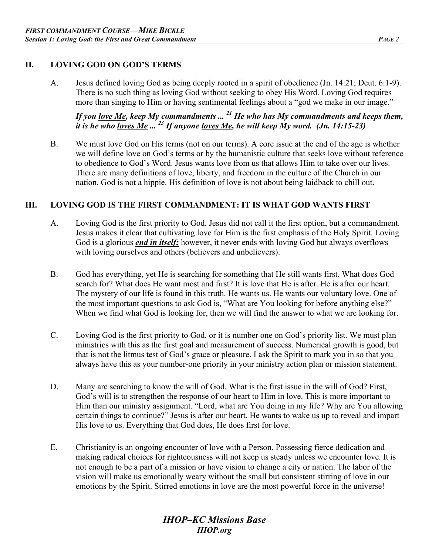#### **II. LOVING GOD ON GOD'S TERMS**

A. Jesus defined loving God as being deeply rooted in a spirit of obedience (Jn. 14:21; Deut. 6:1-9). There is no such thing as loving God without seeking to obey His Word. Loving God requires more than singing to Him or having sentimental feelings about a "god we make in our image."

*If you love Me, keep My commandments ... 21 He who has My commandments and keeps them, it is he who loves Me ... 23 If anyone loves Me, he will keep My word. (Jn. 14:15-23)* 

B. We must love God on His terms (not on our terms). A core issue at the end of the age is whether we will define love on God's terms or by the humanistic culture that seeks love without reference to obedience to God's Word. Jesus wants love from us that allows Him to take over our lives. There are many definitions of love, liberty, and freedom in the culture of the Church in our nation. God is not a hippie. His definition of love is not about being laidback to chill out.

### **III. LOVING GOD IS THE FIRST COMMANDMENT: IT IS WHAT GOD WANTS FIRST**

- A. Loving God is the first priority to God. Jesus did not call it the first option, but a commandment. Jesus makes it clear that cultivating love for Him is the first emphasis of the Holy Spirit. Loving God is a glorious *end in itself;* however, it never ends with loving God but always overflows with loving ourselves and others (believers and unbelievers).
- B. God has everything, yet He is searching for something that He still wants first. What does God search for? What does He want most and first? It is love that He is after. He is after our heart. The mystery of our life is found in this truth. He wants us. He wants our voluntary love. One of the most important questions to ask God is, "What are You looking for before anything else?" When we find what God is looking for, then we will find the answer to what we are looking for.
- C. Loving God is the first priority to God, or it is number one on God's priority list. We must plan ministries with this as the first goal and measurement of success. Numerical growth is good, but that is not the litmus test of God's grace or pleasure. I ask the Spirit to mark you in so that you always have this as your number-one priority in your ministry action plan or mission statement.
- D. Many are searching to know the will of God. What is the first issue in the will of God? First, God's will is to strengthen the response of our heart to Him in love. This is more important to Him than our ministry assignment. "Lord, what are You doing in my life? Why are You allowing certain things to continue?" Jesus is after our heart. He wants to wake us up to reveal and impart His love to us. Everything that God does, He does first for love.
- E. Christianity is an ongoing encounter of love with a Person. Possessing fierce dedication and making radical choices for righteousness will not keep us steady unless we encounter love. It is not enough to be a part of a mission or have vision to change a city or nation. The labor of the vision will make us emotionally weary without the small but consistent stirring of love in our emotions by the Spirit. Stirred emotions in love are the most powerful force in the universe!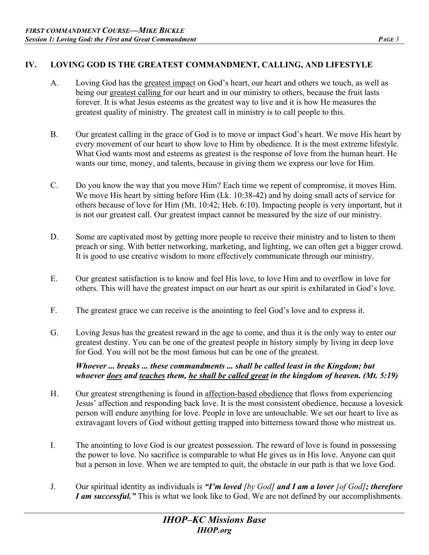#### **IV. LOVING GOD IS THE GREATEST COMMANDMENT, CALLING, AND LIFESTYLE**

- A. Loving God has the greatest impact on God's heart, our heart and others we touch, as well as being our greatest calling for our heart and in our ministry to others, because the fruit lasts forever. It is what Jesus esteems as the greatest way to live and it is how He measures the greatest quality of ministry. The greatest call in ministry is to call people to this.
- B. Our greatest calling in the grace of God is to move or impact God's heart. We move His heart by every movement of our heart to show love to Him by obedience. It is the most extreme lifestyle. What God wants most and esteems as greatest is the response of love from the human heart. He wants our time, money, and talents, because in giving them we express our love for Him.
- C. Do you know the way that you move Him? Each time we repent of compromise, it moves Him. We move His heart by sitting before Him (Lk. 10:38-42) and by doing small acts of service for others because of love for Him (Mt. 10:42; Heb. 6:10). Impacting people is very important, but it is not our greatest call. Our greatest impact cannot be measured by the size of our ministry.
- D. Some are captivated most by getting more people to receive their ministry and to listen to them preach or sing. With better networking, marketing, and lighting, we can often get a bigger crowd. It is good to use creative wisdom to more effectively communicate through our ministry.
- E. Our greatest satisfaction is to know and feel His love, to love Him and to overflow in love for others. This will have the greatest impact on our heart as our spirit is exhilarated in God's love.
- F. The greatest grace we can receive is the anointing to feel God's love and to express it.
- G. Loving Jesus has the greatest reward in the age to come, and thus it is the only way to enter our greatest destiny. You can be one of the greatest people in history simply by living in deep love for God. You will not be the most famous but can be one of the greatest.

*Whoever ... breaks ... these commandments ... shall be called least in the Kingdom; but whoever does and teaches them, he shall be called great in the kingdom of heaven. (Mt. 5:19)*

- H. Our greatest strengthening is found in affection-based obedience that flows from experiencing Jesus' affection and responding back love. It is the most consistent obedience, because a lovesick person will endure anything for love. People in love are untouchable. We set our heart to live as extravagant lovers of God without getting trapped into bitterness toward those who mistreat us.
- I. The anointing to love God is our greatest possession. The reward of love is found in possessing the power to love. No sacrifice is comparable to what He gives us in His love. Anyone can quit but a person in love. When we are tempted to quit, the obstacle in our path is that we love God.
- J. Our spiritual identity as individuals is *"I'm loved [by God] and I am a lover [of God]; therefore I am successful.*" This is what we look like to God. We are not defined by our accomplishments.